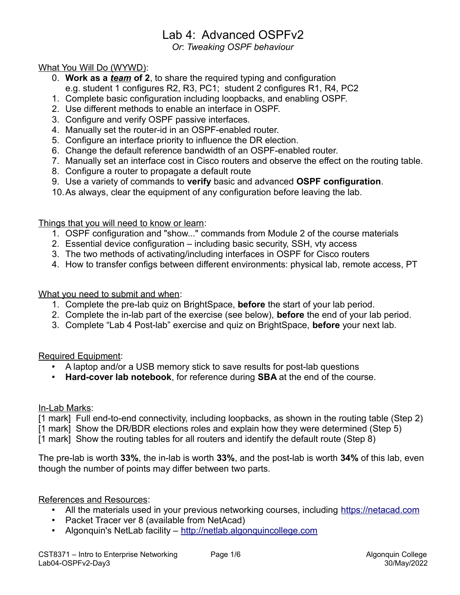# Lab 4: Advanced OSPFv2

*Or*: *Tweaking OSPF behaviour*

#### What You Will Do (WYWD):

- 0. **Work as a** *team* **of 2**, to share the required typing and configuration e.g. student 1 configures R2, R3, PC1; student 2 configures R1, R4, PC2
- 1. Complete basic configuration including loopbacks, and enabling OSPF.
- 2. Use different methods to enable an interface in OSPF.
- 3. Configure and verify OSPF passive interfaces.
- 4. Manually set the router-id in an OSPF-enabled router.
- 5. Configure an interface priority to influence the DR election.
- 6. Change the default reference bandwidth of an OSPF-enabled router.
- 7. Manually set an interface cost in Cisco routers and observe the effect on the routing table.
- 8. Configure a router to propagate a default route
- 9. Use a variety of commands to **verify** basic and advanced **OSPF configuration**.
- 10.As always, clear the equipment of any configuration before leaving the lab.

Things that you will need to know or learn:

- 1. OSPF configuration and "show..." commands from Module 2 of the course materials
- 2. Essential device configuration including basic security, SSH, vty access
- 3. The two methods of activating/including interfaces in OSPF for Cisco routers
- 4. How to transfer configs between different environments: physical lab, remote access, PT

What you need to submit and when:

- 1. Complete the pre-lab quiz on BrightSpace, **before** the start of your lab period.
- 2. Complete the in-lab part of the exercise (see below), **before** the end of your lab period.
- 3. Complete "Lab 4 Post-lab" exercise and quiz on BrightSpace, **before** your next lab.

Required Equipment:

- A laptop and/or a USB memory stick to save results for post-lab questions
- **Hard-cover lab notebook**, for reference during **SBA** at the end of the course.

In-Lab Marks:

[1 mark] Full end-to-end connectivity, including loopbacks, as shown in the routing table (Step 2)

[1 mark] Show the DR/BDR elections roles and explain how they were determined (Step 5)

[1 mark] Show the routing tables for all routers and identify the default route (Step 8)

The pre-lab is worth **33%**, the in-lab is worth **33%**, and the post-lab is worth **34%** of this lab, even though the number of points may differ between two parts.

References and Resources:

- All the materials used in your previous networking courses, including [https://netacad.com](https://netacad.com/)
- Packet Tracer ver 8 (available from NetAcad)
- Algonquin's NetLab facility – [http://netlab.algonquincollege.com](http://netlab.algonquincollege.com/)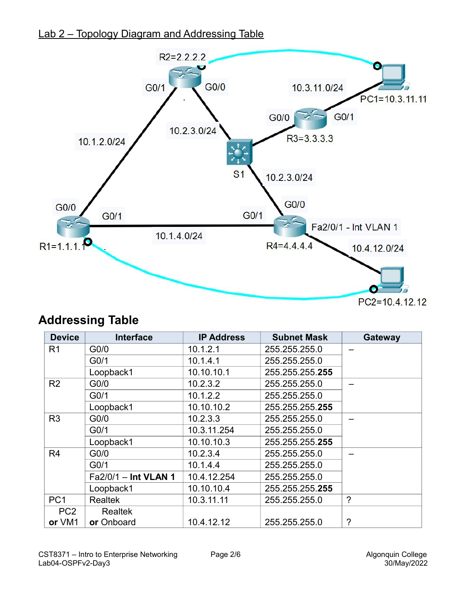## Lab 2 – Topology Diagram and Addressing Table



# **Addressing Table**

| <b>Device</b>   | <b>Interface</b>     | <b>IP Address</b> | <b>Subnet Mask</b> | Gateway     |
|-----------------|----------------------|-------------------|--------------------|-------------|
| R <sub>1</sub>  | G <sub>0</sub> /0    | 10.1.2.1          | 255.255.255.0      |             |
|                 | G <sub>0/1</sub>     | 10.1.4.1          | 255.255.255.0      |             |
|                 | Loopback1            | 10.10.10.1        | 255.255.255.255    |             |
| R <sub>2</sub>  | G <sub>0</sub> /0    | 10.2.3.2          | 255.255.255.0      |             |
|                 | G <sub>0/1</sub>     | 10.1.2.2          | 255.255.255.0      |             |
|                 | Loopback1            | 10.10.10.2        | 255.255.255.255    |             |
| R <sub>3</sub>  | G <sub>0</sub> /0    | 10.2.3.3          | 255.255.255.0      |             |
|                 | G <sub>0/1</sub>     | 10.3.11.254       | 255.255.255.0      |             |
|                 | Loopback1            | 10.10.10.3        | 255.255.255.255    |             |
| R4              | G <sub>0</sub> /0    | 10.2.3.4          | 255.255.255.0      |             |
|                 | G <sub>0/1</sub>     | 10.1.4.4          | 255.255.255.0      |             |
|                 | Fa2/0/1 - Int VLAN 1 | 10.4.12.254       | 255.255.255.0      |             |
|                 | Loopback1            | 10.10.10.4        | 255.255.255.255    |             |
| PC <sub>1</sub> | <b>Realtek</b>       | 10.3.11.11        | 255.255.255.0      | $\tilde{?}$ |
| PC <sub>2</sub> | <b>Realtek</b>       |                   |                    |             |
| or VM1          | or Onboard           | 10.4.12.12        | 255.255.255.0      | $\tilde{?}$ |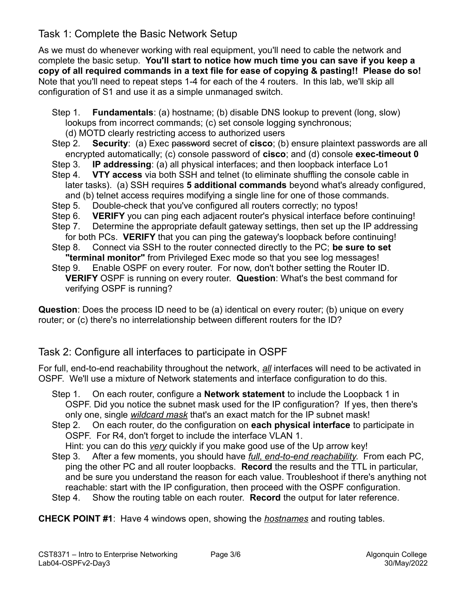#### Task 1: Complete the Basic Network Setup

As we must do whenever working with real equipment, you'll need to cable the network and complete the basic setup. **You'll start to notice how much time you can save if you keep a copy of all required commands in a text file for ease of copying & pasting!! Please do so!** Note that you'll need to repeat steps 1-4 for each of the 4 routers. In this lab, we'll skip all configuration of S1 and use it as a simple unmanaged switch.

- Step 1. **Fundamentals**: (a) hostname; (b) disable DNS lookup to prevent (long, slow) lookups from incorrect commands; (c) set console logging synchronous; (d) MOTD clearly restricting access to authorized users
- Step 2. **Security**: (a) Exec password secret of **cisco**; (b) ensure plaintext passwords are all encrypted automatically; (c) console password of **cisco**; and (d) console **exec-timeout 0**
- Step 3. **IP addressing**: (a) all physical interfaces; and then loopback interface Lo1
- Step 4. **VTY access** via both SSH and telnet (to eliminate shuffling the console cable in later tasks). (a) SSH requires **5 additional commands** beyond what's already configured, and (b) telnet access requires modifying a single line for one of those commands.
- Step 5. Double-check that you've configured all routers correctly; no typos!
- Step 6. **VERIFY** you can ping each adjacent router's physical interface before continuing!
- Step 7. Determine the appropriate default gateway settings, then set up the IP addressing for both PCs. **VERIFY** that you can ping the gateway's loopback before continuing!
- Step 8. Connect via SSH to the router connected directly to the PC; **be sure to set "terminal monitor"** from Privileged Exec mode so that you see log messages!
- Step 9. Enable OSPF on every router. For now, don't bother setting the Router ID. **VERIFY** OSPF is running on every router. **Question**: What's the best command for verifying OSPF is running?

**Question**: Does the process ID need to be (a) identical on every router; (b) unique on every router; or (c) there's no interrelationship between different routers for the ID?

#### Task 2: Configure all interfaces to participate in OSPF

For full, end-to-end reachability throughout the network, *all* interfaces will need to be activated in OSPF. We'll use a mixture of Network statements and interface configuration to do this.

- Step 1. On each router, configure a **Network statement** to include the Loopback 1 in OSPF. Did you notice the subnet mask used for the IP configuration? If yes, then there's only one, single *wildcard mask* that's an exact match for the IP subnet mask!
- Step 2. On each router, do the configuration on **each physical interface** to participate in OSPF. For R4, don't forget to include the interface VLAN 1.
- Hint: you can do this *very* quickly if you make good use of the Up arrow key! Step 3. After a few moments, you should have *full, end-to-end reachability*. From each PC,
- ping the other PC and all router loopbacks. **Record** the results and the TTL in particular, and be sure you understand the reason for each value. Troubleshoot if there's anything not reachable: start with the IP configuration, then proceed with the OSPF configuration.
- Step 4. Show the routing table on each router. **Record** the output for later reference.

**CHECK POINT #1**: Have 4 windows open, showing the *hostnames* and routing tables.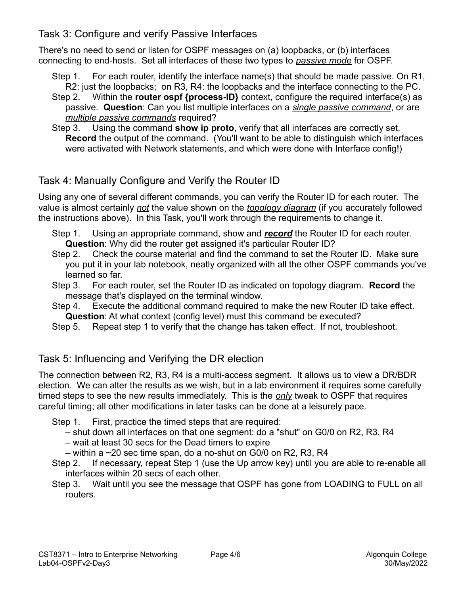#### Task 3: Configure and verify Passive Interfaces

There's no need to send or listen for OSPF messages on (a) loopbacks, or (b) interfaces connecting to end-hosts. Set all interfaces of these two types to *passive mode* for OSPF.

- Step 1. For each router, identify the interface name(s) that should be made passive. On R1, R2: just the loopbacks; on R3, R4: the loopbacks and the interface connecting to the PC.
- Step 2. Within the **router ospf {process-ID}** context, configure the required interface(s) as passive. **Question**: Can you list multiple interfaces on a *single passive command*, or are *multiple passive commands* required?
- Step 3. Using the command **show ip proto**, verify that all interfaces are correctly set. **Record** the output of the command. (You'll want to be able to distinguish which interfaces were activated with Network statements, and which were done with Interface config!)

## Task 4: Manually Configure and Verify the Router ID

Using any one of several different commands, you can verify the Router ID for each router. The value is almost certainly *not* the value shown on the *topology diagram* (if you accurately followed the instructions above). In this Task, you'll work through the requirements to change it.

- Step 1. Using an appropriate command, show and *record* the Router ID for each router. **Question**: Why did the router get assigned it's particular Router ID?
- Step 2. Check the course material and find the command to set the Router ID. Make sure you put it in your lab notebook, neatly organized with all the other OSPF commands you've learned so far.
- Step 3. For each router, set the Router ID as indicated on topology diagram. **Record** the message that's displayed on the terminal window.
- Step 4. Execute the additional command required to make the new Router ID take effect. **Question**: At what context (config level) must this command be executed?
- Step 5. Repeat step 1 to verify that the change has taken effect. If not, troubleshoot.

### Task 5: Influencing and Verifying the DR election

The connection between R2, R3, R4 is a multi-access segment. It allows us to view a DR/BDR election. We can alter the results as we wish, but in a lab environment it requires some carefully timed steps to see the new results immediately. This is the *only* tweak to OSPF that requires careful timing; all other modifications in later tasks can be done at a leisurely pace.

- Step 1. First, practice the timed steps that are required:
	- shut down all interfaces on that one segment: do a "shut" on G0/0 on R2, R3, R4
	- wait at least 30 secs for the Dead timers to expire
	- $-$  within a  $\sim$ 20 sec time span, do a no-shut on G0/0 on R2, R3, R4
- Step 2. If necessary, repeat Step 1 (use the Up arrow key) until you are able to re-enable all interfaces within 20 secs of each other.
- Step 3. Wait until you see the message that OSPF has gone from LOADING to FULL on all routers.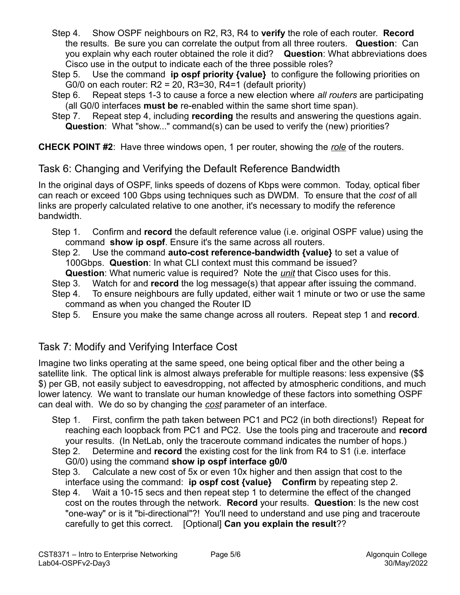- Step 4. Show OSPF neighbours on R2, R3, R4 to **verify** the role of each router. **Record** the results. Be sure you can correlate the output from all three routers. **Question**: Can you explain why each router obtained the role it did? **Question**: What abbreviations does Cisco use in the output to indicate each of the three possible roles?
- Step 5. Use the command **ip ospf priority {value}** to configure the following priorities on G0/0 on each router:  $R2 = 20$ ,  $R3 = 30$ ,  $R4 = 1$  (default priority)
- Step 6. Repeat steps 1-3 to cause a force a new election where *all routers* are participating (all G0/0 interfaces **must be** re-enabled within the same short time span).
- Step 7. Repeat step 4, including **recording** the results and answering the questions again. **Question**: What "show..." command(s) can be used to verify the (new) priorities?

**CHECK POINT #2**: Have three windows open, 1 per router, showing the *role* of the routers.

### Task 6: Changing and Verifying the Default Reference Bandwidth

In the original days of OSPF, links speeds of dozens of Kbps were common. Today, optical fiber can reach or exceed 100 Gbps using techniques such as DWDM. To ensure that the *cost* of all links are properly calculated relative to one another, it's necessary to modify the reference bandwidth.

- Step 1. Confirm and **record** the default reference value (i.e. original OSPF value) using the command **show ip ospf**. Ensure it's the same across all routers.
- Step 2. Use the command **auto-cost reference-bandwidth {value}** to set a value of 100Gbps. **Question**: In what CLI context must this command be issued?
	- **Question**: What numeric value is required? Note the *unit* that Cisco uses for this.
- Step 3. Watch for and **record** the log message(s) that appear after issuing the command.
- Step 4. To ensure neighbours are fully updated, either wait 1 minute or two or use the same command as when you changed the Router ID
- Step 5. Ensure you make the same change across all routers. Repeat step 1 and **record**.

### Task 7: Modify and Verifying Interface Cost

Imagine two links operating at the same speed, one being optical fiber and the other being a satellite link. The optical link is almost always preferable for multiple reasons: less expensive (\$\$ \$) per GB, not easily subject to eavesdropping, not affected by atmospheric conditions, and much lower latency. We want to translate our human knowledge of these factors into something OSPF can deal with. We do so by changing the *cost* parameter of an interface.

- Step 1. First, confirm the path taken between PC1 and PC2 (in both directions!) Repeat for reaching each loopback from PC1 and PC2. Use the tools ping and traceroute and **record** your results. (In NetLab, only the traceroute command indicates the number of hops.)
- Step 2. Determine and **record** the existing cost for the link from R4 to S1 (i.e. interface G0/0) using the command **show ip ospf interface g0/0**
- Step 3. Calculate a new cost of 5x or even 10x higher and then assign that cost to the interface using the command: **ip ospf cost {value} Confirm** by repeating step 2.
- Step 4. Wait a 10-15 secs and then repeat step 1 to determine the effect of the changed cost on the routes through the network. **Record** your results. **Question**: Is the new cost "one-way" or is it "bi-directional"?! You'll need to understand and use ping and traceroute carefully to get this correct. [Optional] **Can you explain the result**??